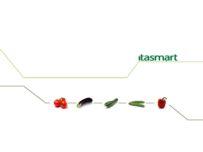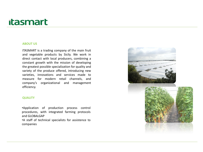#### **ABOUT US**

ITASMART is a trading company of the main fruit and vegetable products by Sicily. We work in direct contact with local producers, combining a constant growth with the mission of developing the greatest possible specialization for quality and variety of the produce offered, introducing new varieties, innovations and services made to measure for modern retail channels, and company's organizational and management efficiency.

#### **QUALITY**

•Application of production process control procedures, with integrated farming protocols and GLOBALGAP •A staff of technical specialists for assistence to companies

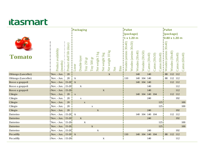|                     |                                  |                              |                     | Packaging    |             |             |                                         |                |                  |     |             | <b>Pallet</b>            |                          |                |                |                  |                  |                  | <b>Pallet</b>             |                |                  |                |
|---------------------|----------------------------------|------------------------------|---------------------|--------------|-------------|-------------|-----------------------------------------|----------------|------------------|-----|-------------|--------------------------|--------------------------|----------------|----------------|------------------|------------------|------------------|---------------------------|----------------|------------------|----------------|
|                     |                                  |                              |                     |              |             |             |                                         |                |                  |     |             |                          | (package)                |                |                |                  |                  |                  |                           | (package)      |                  |                |
|                     |                                  |                              |                     |              |             |             |                                         |                |                  |     |             | 1x1.20m                  |                          |                |                |                  |                  |                  | 0.80 x 1.20 m             |                |                  |                |
| <b>Tomato</b>       | Product availability<br>(months) | (days)<br>Product shelf life | Loose               | Double-layer | Tray 250 gr | Tray 500 gr | $\overline{\mathbf{g}}$<br>Net weight 3 | Net weight 5kg | Net weight 10 kg | Net | <b>Bins</b> | 30x40<br>Wooden (aresino | 30x50<br>Wooden (aresino | Wooden (30x40) | Wooden (30x50) | Carton $(30x40)$ | Carton $(30x50)$ | Carton (60x40)   | 30x40)<br>Wooden (aresino | Wooden (30x40) | Carton $(30x40)$ | Carton (60x40) |
| Oblungo (Lancellot) | Nov. - Jun.                      | 20                           |                     |              |             |             |                                         |                | $\mathbf{X}$     |     |             |                          |                          | 140            |                | 140              |                  |                  | 88                        | 112 112        |                  |                |
| Oblungo (Lancellot) | Nov. - Jun.                      | 20                           | $\mathbf{X}$        |              |             |             |                                         |                |                  |     |             | 110                      |                          |                | 140 104        | 140              |                  |                  | 88                        | 112 112        |                  |                |
| Rosso a grappoli    | Nov. - Jun. $15-20$ X            |                              |                     |              |             |             |                                         |                |                  |     |             |                          |                          |                | 140 104 140    |                  |                  |                  |                           | 112 112        |                  |                |
| Rosso a grappoli    | Nov. - Jun. 15-20                |                              |                     | $\mathbf{X}$ |             |             |                                         |                |                  |     |             |                          |                          |                |                | 140              |                  |                  |                           |                | 112              |                |
| Rosso a grappoli    | Nov. - Jun. 15-201               |                              |                     |              |             |             |                                         | $\mathbf{X}$   |                  |     |             |                          |                          |                |                | 140              |                  |                  |                           |                | 112              |                |
| Ciliegio            | Nov. - Jun. I                    | 20                           | $\mathbf{i} \times$ |              |             |             |                                         |                |                  |     |             |                          |                          |                |                | 140 104 140 104  |                  |                  |                           | 112 112        |                  |                |
| Ciliegio            | Nov. - Jun.                      | 20                           |                     | $\mathbf X$  |             |             |                                         |                |                  |     |             |                          |                          |                |                | 240              |                  |                  |                           |                | 192              |                |
| Ciliegio            | Nov. - Jun.                      | 20                           |                     |              | $\mathbf X$ |             |                                         |                |                  |     |             |                          |                          |                |                |                  |                  | 125              |                           |                |                  | 100            |
| Ciliegio            | Nov. - Jun.                      | 20                           |                     |              |             | $\mathbf X$ |                                         |                |                  |     |             |                          |                          |                |                |                  |                  | 125              |                           |                |                  | 100            |
| Ciliegio            | Nov. - Jun.                      | 20                           |                     |              |             |             | $\mathbf{X}$                            |                |                  |     |             |                          |                          |                |                | 240              |                  |                  |                           |                | 192              |                |
| Datterino           | Nov. - Jun. $15-20$ X            |                              |                     |              |             |             |                                         |                |                  |     |             |                          |                          |                |                | 140 104 140 104  |                  |                  |                           | 112 112        |                  |                |
| Datterino           | Nov. - Jun. 15-20                |                              |                     | $\mathbf{X}$ |             |             |                                         |                |                  |     |             |                          |                          |                |                | 240              |                  |                  |                           |                | 192              |                |
| Datterino           | Nov. - Jun. 15-20                |                              |                     |              | $\mathbf X$ |             |                                         |                |                  |     |             |                          |                          |                |                |                  |                  | 1251             |                           |                |                  | 100            |
| Datterino           | Nov. - Jun. $15-20$              |                              |                     |              |             | $\mathbf X$ |                                         |                |                  |     |             |                          |                          |                |                |                  |                  | 125 <sup>1</sup> |                           |                |                  | 100            |
| Datterino           | Nov. - Jun. $15-20$              |                              |                     |              |             |             | $\mathbf X$                             |                |                  |     |             |                          |                          |                |                | 240              |                  |                  |                           |                | 192              |                |
| Piccadilly          | Nov. - Jun. $15-20$ X            |                              |                     |              |             |             |                                         |                |                  |     |             | 110                      |                          | 140 104        |                | 140 104          |                  |                  | 88                        | 112 112        |                  |                |
| Piccadilly          | Nov. - Jun. 15-201               |                              |                     |              |             |             |                                         | $\mathbf X$    |                  |     |             |                          |                          |                |                | 140              |                  |                  |                           |                | 112              |                |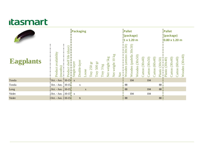|                  |                                  |                              | Packaging    |              |             |                |                             |           |                |                     |     | Pallet<br>1 x 1.20 m        | (package)                   |                   |                  |                   |                   |                    | Pallet             | (package)<br>0.80 x 1.20 m |                  |                   |
|------------------|----------------------------------|------------------------------|--------------|--------------|-------------|----------------|-----------------------------|-----------|----------------|---------------------|-----|-----------------------------|-----------------------------|-------------------|------------------|-------------------|-------------------|--------------------|--------------------|----------------------------|------------------|-------------------|
| <b>Eagplants</b> | Product availability<br>(months) | (days)<br>Product shelf life | Single-layer | Double-layer | -oose       | 12<br>Tray 250 | $\overline{50}$<br>Tray 500 | Tray 3 kg | Net weight 5kg | 10 kg<br>Net weight | Net | 30x50<br>(aresino<br>Wooden | 30x50<br>(padella<br>Wooden | (30x50)<br>Wooden | Carton $(30x40)$ | (30x50)<br>Carton | (60x40)<br>Carton | (30x50)<br>Plastic | (30x40)<br>Plastic | (30x40)<br>Carton          | Carton $(60x40)$ | (30x40)<br>Wooden |
| Tonda            | Oct. - Jun. 10-15                |                              | $\mathbf{X}$ |              |             |                |                             |           |                |                     |     |                             | 104                         |                   |                  | 104               |                   |                    |                    |                            |                  |                   |
| Tonda            | Oct. - Jun. $10-15$              |                              |              | X            |             |                |                             |           |                |                     |     | 88                          |                             |                   |                  |                   |                   | 88                 |                    |                            |                  |                   |
| Long             | Oct. - Jun. $ 10-15 $            |                              |              |              | $\mathbf X$ |                |                             |           |                |                     |     | 88                          |                             |                   |                  | 104               |                   | 88                 |                    |                            |                  |                   |
| Violet           | Oct. - Jun. $10-15$ x            |                              |              |              |             |                |                             |           |                |                     |     |                             | 104                         |                   |                  | 104               |                   |                    |                    |                            |                  |                   |
| Violet           | Oct. - Jun. 110-151              |                              |              | $\mathbf X$  |             |                |                             |           |                |                     |     | 88                          |                             |                   |                  |                   |                   | 88 l               |                    |                            |                  |                   |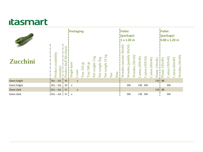|                 |                                                     |                                 | Packaging    |              |                             |                |                    |                |                     |     |             | Pallet<br>(package)<br>11 x 1.20 m |                             |                   |                  |                   |                   |                    | Pallet<br>(package)<br>10.80 x 1.20 m |                   |                  |                   |
|-----------------|-----------------------------------------------------|---------------------------------|--------------|--------------|-----------------------------|----------------|--------------------|----------------|---------------------|-----|-------------|------------------------------------|-----------------------------|-------------------|------------------|-------------------|-------------------|--------------------|---------------------------------------|-------------------|------------------|-------------------|
| <b>Zucchini</b> | availability<br>(months)<br>Product                 | (days)<br>life<br>Product shelf | Single-layer | <b>Joose</b> | $\overline{16}$<br>Tray 250 | EQ<br>Tray 500 | 3 kg<br>Net weight | Net weight 5kg | 10 kg<br>Net weight | Net | <b>Bins</b> | 30x40)<br>aresino<br>Wooden        | 30x50<br>(padella<br>Wooden | (30x50)<br>Wooden | Carton $(30X40)$ | (30X50)<br>Carton | (60x40)<br>Carton | (30x40)<br>Plastic | $\frac{1}{(30x40)}$<br>Plastic        | (30X40)<br>Carton | Carton $(60x40)$ | (30x40)<br>Wooden |
| Green bright    | Oct. - Jul.                                         | 10                              |              | $\mathbf X$  |                             |                |                    |                |                     |     |             |                                    |                             |                   |                  |                   |                   | 110 <sup>1</sup>   | 88                                    |                   |                  |                   |
| Green bright    | Oct. - Jul.                                         | 10 <sup>1</sup>                 | $\mathbf{X}$ |              |                             |                |                    |                |                     |     |             |                                    | 104                         |                   |                  | 130 104           |                   |                    |                                       | 104               |                  |                   |
| Green dark      | $Oct. - Jul. 15$                                    |                                 |              | $\mathbf X$  |                             |                |                    |                |                     |     |             |                                    |                             |                   |                  |                   |                   |                    | $110^{18}_{18}$ 88                    |                   |                  |                   |
| Green dark      | Oct. - Jul. $\begin{array}{c c} 15 & x \end{array}$ |                                 |              |              |                             |                |                    |                |                     |     |             |                                    | 104                         |                   |                  | 130 104           |                   |                    |                                       | 104               |                  |                   |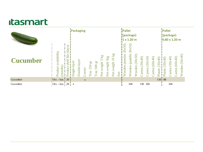|                 |                                     |                                                                 | Packaging        |              |               |                          |                   |                                               |                       |                     |     | Pallet<br>(package)<br>11 x 1.20 m |                             |                   |                   |                   |                   |                    | Pallet<br>(package)<br>10.80 x 1.20 m |                   |                          |                   |
|-----------------|-------------------------------------|-----------------------------------------------------------------|------------------|--------------|---------------|--------------------------|-------------------|-----------------------------------------------|-----------------------|---------------------|-----|------------------------------------|-----------------------------|-------------------|-------------------|-------------------|-------------------|--------------------|---------------------------------------|-------------------|--------------------------|-------------------|
| <b>Cucumber</b> | availability<br>(months)<br>Product | $\mathbf{S}$<br>$\overline{a}$<br>ರ<br>Life<br>shelf<br>ರ<br>Ĕί | layer<br>Single- | Double-layer | <b>LOOSET</b> | <b>TG</b><br>250<br>Tray | EP<br>500<br>Tray | $\overline{\mathbf{g}}$<br>3<br>weight<br>Net | 5kg<br>weight.<br>Net | weight 10 kg<br>Net | Net | 30x50<br>aresino<br>ooden<br>⋗     | 30x50<br>(padella<br>Wooden | (30x50)<br>Wooden | (30x40)<br>Carton | (30x50)<br>Carton | (60x40)<br>Carton | (30x40)<br>Plastic | (30x40)<br>Plastic                    | (30x40)<br>Carton | (60x40)<br><b>Jarton</b> | (30x40)<br>Wooden |
| Cucumber        | $Oct. - Jun. 20$                    |                                                                 |                  |              | $\mathbf{X}$  |                          |                   |                                               |                       |                     |     |                                    |                             |                   |                   |                   |                   |                    | $110j$ 88                             |                   |                          |                   |
| Cucumber        | Oct. - Jun. $20 \frac{1}{1}$ x      |                                                                 |                  |              |               |                          |                   |                                               |                       |                     |     |                                    | 104                         |                   | 130               | 104               |                   |                    |                                       | 104               |                          |                   |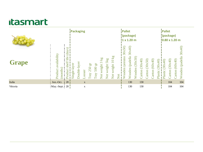|              |                                              |                                       | Packaging    |              |             |                          |                               |                                            |                       |                               |     | Pallet<br>(package)<br>1x1.20m |                              |                   |                   |                   |                   |                    | Pallet             | (package)<br>0.80 x 1.20 m |                   |                             |
|--------------|----------------------------------------------|---------------------------------------|--------------|--------------|-------------|--------------------------|-------------------------------|--------------------------------------------|-----------------------|-------------------------------|-----|--------------------------------|------------------------------|-------------------|-------------------|-------------------|-------------------|--------------------|--------------------|----------------------------|-------------------|-----------------------------|
| <b>Grape</b> | Product availability<br>month <sub>s</sub> ) | (days)<br>life<br>shelf<br>ರ<br>Produ | Single-layer | Double-layer | .ooser      | <b>ED</b><br>250<br>Tray | $\overline{a}$<br>500<br>Tray | $\overline{\mathbf{g}}$<br>weight 3<br>Net | 5kg<br>weight.<br>Net | weight $10 \text{ kg}$<br>Net | Net | 30x50<br>aresino<br>ooden      | 30x40)<br>(padella<br>Wooden | (30x50)<br>Wooden | (30x40)<br>Carton | (30x50)<br>Carton | (60x40)<br>Carton | (30x40)<br>Plastic | (30x40)<br>Plastic | (30x40)<br>Carton          | (60x40)<br>Carton | 30x40<br>(padella<br>Wooden |
| Italia       | Jun.-Oct.                                    | 20                                    |              |              | X           |                          |                               |                                            |                       |                               |     |                                | 130                          |                   | 130               |                   |                   |                    |                    | 104                        |                   | 104                         |
| Vittoria     | May.-Sept.                                   | 20 <sub>1</sub>                       |              |              | $\mathbf X$ |                          |                               |                                            |                       |                               |     |                                | 130                          |                   | 130               |                   |                   |                    |                    | 104                        |                   | 104                         |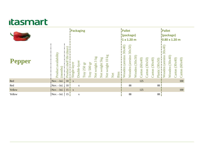|               |                                                          |                                | Packaging    |              |                                |                            |                         |                |                     |     |             | Pallet<br>(package)<br>1 x 1.20 m |                             |                   |                   |                   |                   |                    | Pallet<br>(package)<br>10.80 x 1.20 m |                   |                   |                  |
|---------------|----------------------------------------------------------|--------------------------------|--------------|--------------|--------------------------------|----------------------------|-------------------------|----------------|---------------------|-----|-------------|-----------------------------------|-----------------------------|-------------------|-------------------|-------------------|-------------------|--------------------|---------------------------------------|-------------------|-------------------|------------------|
| <b>Pepper</b> | availability<br>months)<br>Product                       | days)<br>shelf life<br>Product | Single-layer | Oouble-layer | $\overline{16}$<br>250<br>Tray | $500 \mathrm{~gr}$<br>Tray | $k_{g}$<br>Net weight 3 | Net weight 5kg | 10 kg<br>Net weight | Net | <b>Bins</b> | 30x40)<br>aresino<br>Wooden       | 30x50<br>(aresino<br>Wooden | (30x50)<br>Wooden | (60x40)<br>Carton | (30x50)<br>Carton | (30x40)<br>Carton | (30x50)<br>Plastic | 30x40<br>(aresino<br>Wooden           | (30x40)<br>Wooden | (30x40)<br>Carton | Carton $(60x40)$ |
| Red           | Nov. - Jul.                                              | 10 <sup>1</sup>                | $\mathbf{X}$ |              |                                |                            |                         |                |                     |     |             |                                   |                             |                   | 125               |                   |                   |                    |                                       |                   |                   | 100              |
| Red           | Nov. - Jul.                                              | $\vert$ 10                     |              | $\mathbf X$  |                                |                            |                         |                |                     |     |             |                                   | 88                          |                   |                   |                   |                   | 88                 |                                       |                   |                   |                  |
| Yellow        | $\vert \text{Nov.} - \text{Jul.} \vert \vert 15 \vert x$ |                                |              |              |                                |                            |                         |                |                     |     |             |                                   |                             |                   | 125               |                   |                   |                    |                                       |                   |                   | 100              |
| Yellow        | $Nov. - Jul. 15$                                         |                                |              | $\mathbf X$  |                                |                            |                         |                |                     |     |             |                                   | 88                          |                   |                   |                   |                   | 88                 |                                       |                   |                   |                  |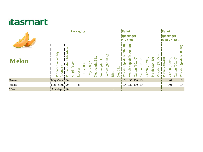|              |                                     |                                    | Packaging    |               |                                   |                               |                                         |                   |                        |             |                                            | Pallet<br>(package)<br>1 x 1.20 m |                             |                   |                   |                   |                    |                   | Pallet             | (package)<br>0.80 x 1.20 m |                   |                       |
|--------------|-------------------------------------|------------------------------------|--------------|---------------|-----------------------------------|-------------------------------|-----------------------------------------|-------------------|------------------------|-------------|--------------------------------------------|-----------------------------------|-----------------------------|-------------------|-------------------|-------------------|--------------------|-------------------|--------------------|----------------------------|-------------------|-----------------------|
| <b>Melon</b> | availability<br>(months)<br>Product | (days)<br>life<br>shelf<br>Product | Single-layer | <b>LOOSET</b> | $\overline{5}$<br><b>Tray 250</b> | $\overline{a}$<br>500<br>Tray | $\overline{\mathbf{g}}$<br>Net weight 3 | 5kg<br>Net weight | 10 kg<br>weight<br>Net | <b>Bins</b> | $\overline{\mathbf{g}}$<br>$\sigma$<br>Net | 30x50<br>(padella<br>ooden<br>⋧   | 30x40<br>(padella<br>Wooden | (30x40)<br>Carton | (30x50)<br>Carton | (60x40)<br>Carton | (30x40)<br>Plastic | (30x50)<br>Wooden | (30x40)<br>Plastic | (30x40)<br>Carton          | (60x40)<br>Carton | Wooden (padella30x40) |
| Retato       | May.-Sept. 20                       |                                    |              | $\mathbf X$   |                                   |                               |                                         |                   |                        |             |                                            | 104                               |                             | 130 130 104       |                   |                   |                    |                   |                    | 104                        |                   | 104                   |
| Yellow       | May.-Sept.                          | 20 j                               |              | $\mathbf X$   |                                   |                               |                                         |                   |                        |             |                                            | 104                               | 130 130 104                 |                   |                   |                   |                    |                   |                    | 104                        |                   | 104                   |
| Water        | Apr.-Sept.                          | 20 <sup>1</sup>                    |              |               |                                   |                               |                                         |                   |                        | $\mathbf X$ |                                            |                                   |                             |                   |                   |                   |                    |                   |                    |                            |                   |                       |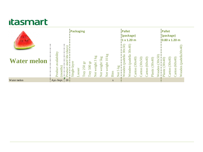|                    |                                                 |                                                                   | Packaging                              |                            |                   |                          |                      |                                                   |             |                 | Pallet<br>(package)<br>11 x 1.20 m         |                                 |                   |                   |                   |                    |                   | Pallet<br>(package)<br>10.80 x 1.20 m |                   |                   |                                   |  |
|--------------------|-------------------------------------------------|-------------------------------------------------------------------|----------------------------------------|----------------------------|-------------------|--------------------------|----------------------|---------------------------------------------------|-------------|-----------------|--------------------------------------------|---------------------------------|-------------------|-------------------|-------------------|--------------------|-------------------|---------------------------------------|-------------------|-------------------|-----------------------------------|--|
| <b>Water melon</b> | availability<br>month <sub>s</sub> )<br>Product | ົຜົ<br>$\mathfrak{g}$<br>್ರ<br>life<br>$\pm$<br>shel<br>ಕ<br>Prod | ఠ<br>$\overline{\text{AB}}$<br>Single- | 12<br>250<br>ooser<br>Tray | 1g<br>500<br>Tray | 8x<br>3<br>weight<br>Net | 5kg<br>weight<br>Net | $\overline{\mathbf{g}}$<br>$\Xi$<br>weight<br>Net | <b>Bins</b> | $\Omega$<br>Net | $\frac{1}{30x50}$<br>padella<br>ooden<br>і | 30x40<br>(padella<br>ooden<br>⋧ | (30x40)<br>Carton | (30x50)<br>Carton | (60x40)<br>Carton | (30x40)<br>Plastic | (30x50)<br>Wooden | (30x40)<br>Plastic                    | (30x40)<br>Carton | (60x40)<br>Carton | $(\text{padella30}x40)$<br>Wooden |  |
| Water melon        | Apr.-Sept. 20                                   |                                                                   |                                        |                            |                   |                          |                      |                                                   | $\mathbf X$ |                 |                                            |                                 |                   |                   |                   |                    |                   |                                       |                   |                   |                                   |  |